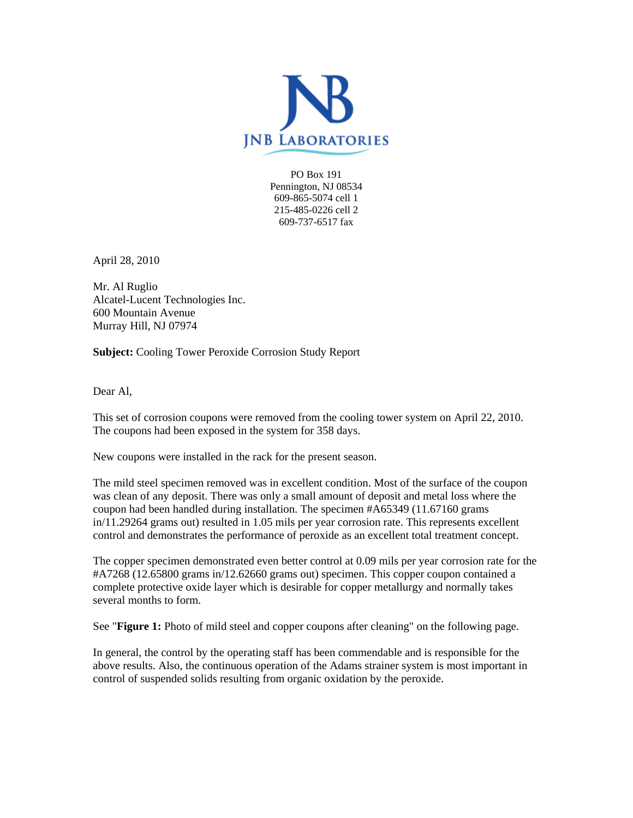

PO Box 191 Pennington, NJ 08534 609-865-5074 cell 1 215-485-0226 cell 2 609-737-6517 fax

April 28, 2010

Mr. Al Ruglio Alcatel-Lucent Technologies Inc. 600 Mountain Avenue Murray Hill, NJ 07974

**Subject:** Cooling Tower Peroxide Corrosion Study Report

Dear Al,

This set of corrosion coupons were removed from the cooling tower system on April 22, 2010. The coupons had been exposed in the system for 358 days.

New coupons were installed in the rack for the present season.

The mild steel specimen removed was in excellent condition. Most of the surface of the coupon was clean of any deposit. There was only a small amount of deposit and metal loss where the coupon had been handled during installation. The specimen #A65349 (11.67160 grams in/11.29264 grams out) resulted in 1.05 mils per year corrosion rate. This represents excellent control and demonstrates the performance of peroxide as an excellent total treatment concept.

The copper specimen demonstrated even better control at 0.09 mils per year corrosion rate for the #A7268 (12.65800 grams in/12.62660 grams out) specimen. This copper coupon contained a complete protective oxide layer which is desirable for copper metallurgy and normally takes several months to form.

See "**Figure 1:** Photo of mild steel and copper coupons after cleaning" on the following page.

In general, the control by the operating staff has been commendable and is responsible for the above results. Also, the continuous operation of the Adams strainer system is most important in control of suspended solids resulting from organic oxidation by the peroxide.